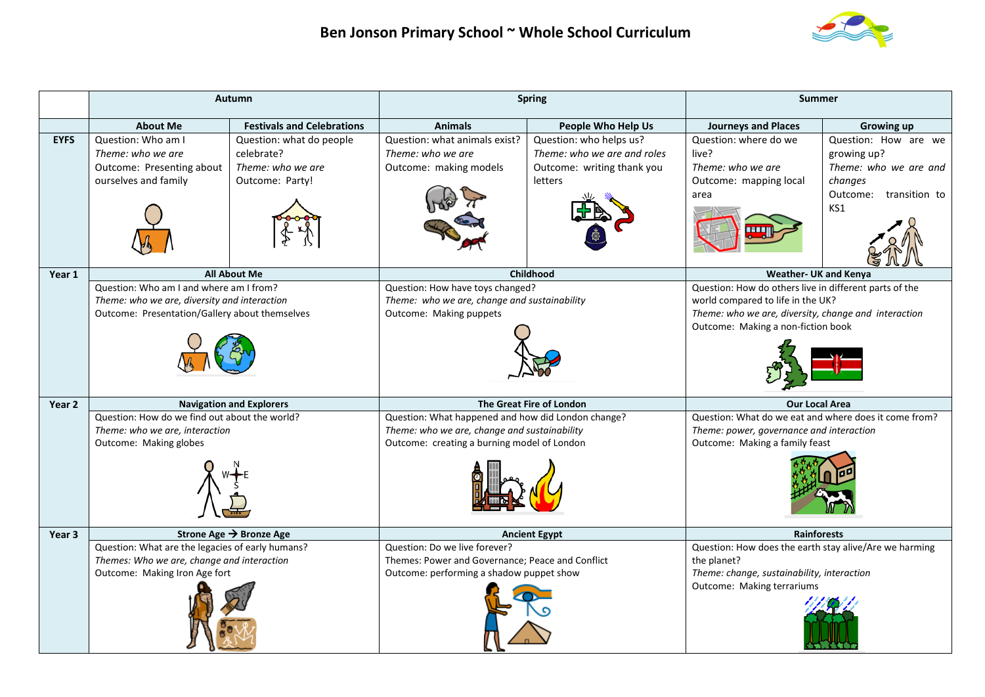

|             | Autumn                                                                                                                                    |                                                                                | <b>Spring</b>                                                                                                                                     |                                                                                                 | <b>Summer</b>                                                                                                                                                                             |                                                                                                             |
|-------------|-------------------------------------------------------------------------------------------------------------------------------------------|--------------------------------------------------------------------------------|---------------------------------------------------------------------------------------------------------------------------------------------------|-------------------------------------------------------------------------------------------------|-------------------------------------------------------------------------------------------------------------------------------------------------------------------------------------------|-------------------------------------------------------------------------------------------------------------|
|             | <b>About Me</b>                                                                                                                           | <b>Festivals and Celebrations</b>                                              | <b>Animals</b>                                                                                                                                    | People Who Help Us                                                                              | <b>Journeys and Places</b>                                                                                                                                                                | <b>Growing up</b>                                                                                           |
| <b>EYFS</b> | Question: Who am I<br>Theme: who we are<br>Outcome: Presenting about<br>ourselves and family                                              | Question: what do people<br>celebrate?<br>Theme: who we are<br>Outcome: Party! | Question: what animals exist?<br>Theme: who we are<br>Outcome: making models                                                                      | Question: who helps us?<br>Theme: who we are and roles<br>Outcome: writing thank you<br>letters | Question: where do we<br>live?<br>Theme: who we are<br>Outcome: mapping local<br>area                                                                                                     | Question: How are we<br>growing up?<br>Theme: who we are and<br>changes<br>Outcome:<br>transition to<br>KS1 |
| Year 1      |                                                                                                                                           | <b>All About Me</b>                                                            |                                                                                                                                                   | <b>Childhood</b>                                                                                | <b>Weather- UK and Kenya</b>                                                                                                                                                              |                                                                                                             |
|             | Question: Who am I and where am I from?<br>Theme: who we are, diversity and interaction<br>Outcome: Presentation/Gallery about themselves |                                                                                | Question: How have toys changed?<br>Theme: who we are, change and sustainability<br>Outcome: Making puppets                                       |                                                                                                 | Question: How do others live in different parts of the<br>world compared to life in the UK?<br>Theme: who we are, diversity, change and interaction<br>Outcome: Making a non-fiction book |                                                                                                             |
| Year 2      |                                                                                                                                           | <b>Navigation and Explorers</b>                                                | The Great Fire of London                                                                                                                          |                                                                                                 | <b>Our Local Area</b>                                                                                                                                                                     |                                                                                                             |
|             | Question: How do we find out about the world?<br>Theme: who we are, interaction<br>Outcome: Making globes                                 |                                                                                | Question: What happened and how did London change?<br>Theme: who we are, change and sustainability<br>Outcome: creating a burning model of London |                                                                                                 | Question: What do we eat and where does it come from?<br>Theme: power, governance and interaction<br>Outcome: Making a family feast                                                       |                                                                                                             |
| Year 3      |                                                                                                                                           | Strone Age $\rightarrow$ Bronze Age                                            |                                                                                                                                                   | <b>Ancient Egypt</b>                                                                            | <b>Rainforests</b>                                                                                                                                                                        |                                                                                                             |
|             | Question: What are the legacies of early humans?<br>Themes: Who we are, change and interaction<br>Outcome: Making Iron Age fort           |                                                                                | Question: Do we live forever?<br>Themes: Power and Governance; Peace and Conflict<br>Outcome: performing a shadow puppet show                     |                                                                                                 | Question: How does the earth stay alive/Are we harming<br>the planet?<br>Theme: change, sustainability, interaction<br>Outcome: Making terrariums                                         |                                                                                                             |